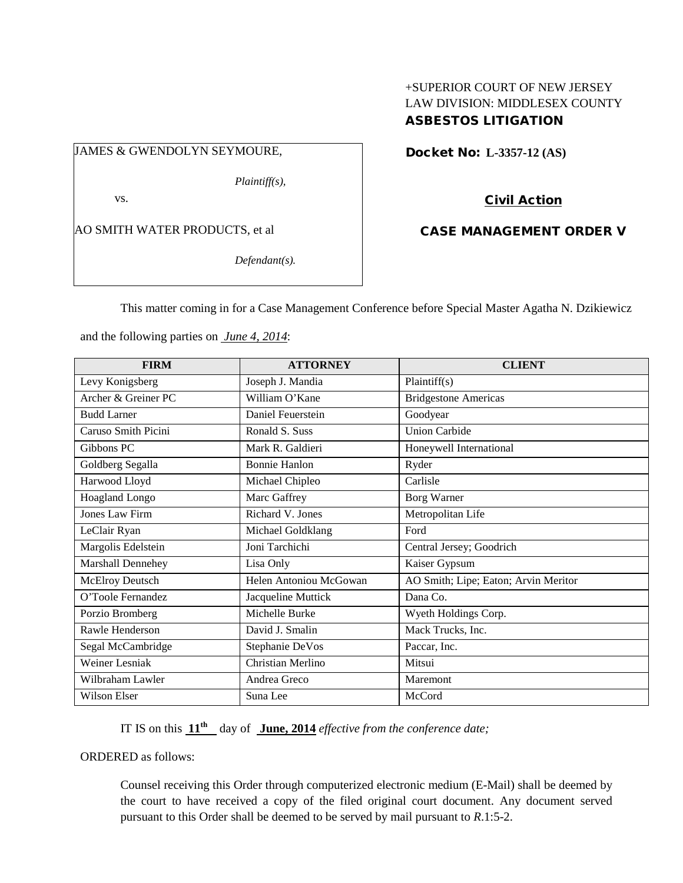# +SUPERIOR COURT OF NEW JERSEY LAW DIVISION: MIDDLESEX COUNTY ASBESTOS LITIGATION

## JAMES & GWENDOLYN SEYMOURE,

*Plaintiff(s),*

vs.

AO SMITH WATER PRODUCTS, et al

*Defendant(s).*

Docket No: **L-3357-12 (AS)** 

Civil Action

CASE MANAGEMENT ORDER V

This matter coming in for a Case Management Conference before Special Master Agatha N. Dzikiewicz

and the following parties on *June 4, 2014*:

| <b>FIRM</b>            | <b>ATTORNEY</b>        | <b>CLIENT</b>                        |
|------------------------|------------------------|--------------------------------------|
| Levy Konigsberg        | Joseph J. Mandia       | Plaintiff(s)                         |
| Archer & Greiner PC    | William O'Kane         | <b>Bridgestone Americas</b>          |
| <b>Budd Larner</b>     | Daniel Feuerstein      | Goodyear                             |
| Caruso Smith Picini    | Ronald S. Suss         | <b>Union Carbide</b>                 |
| Gibbons PC             | Mark R. Galdieri       | Honeywell International              |
| Goldberg Segalla       | <b>Bonnie Hanlon</b>   | Ryder                                |
| Harwood Lloyd          | Michael Chipleo        | Carlisle                             |
| Hoagland Longo         | Marc Gaffrey           | Borg Warner                          |
| <b>Jones Law Firm</b>  | Richard V. Jones       | Metropolitan Life                    |
| LeClair Ryan           | Michael Goldklang      | Ford                                 |
| Margolis Edelstein     | Joni Tarchichi         | Central Jersey; Goodrich             |
| Marshall Dennehey      | Lisa Only              | Kaiser Gypsum                        |
| <b>McElroy Deutsch</b> | Helen Antoniou McGowan | AO Smith; Lipe; Eaton; Arvin Meritor |
| O'Toole Fernandez      | Jacqueline Muttick     | Dana Co.                             |
| Porzio Bromberg        | Michelle Burke         | Wyeth Holdings Corp.                 |
| Rawle Henderson        | David J. Smalin        | Mack Trucks, Inc.                    |
| Segal McCambridge      | Stephanie DeVos        | Paccar, Inc.                         |
| Weiner Lesniak         | Christian Merlino      | Mitsui                               |
| Wilbraham Lawler       | Andrea Greco           | Maremont                             |
| <b>Wilson Elser</b>    | Suna Lee               | McCord                               |

IT IS on this  $11^{th}$  day of **June, 2014** *effective from the conference date;* 

ORDERED as follows:

Counsel receiving this Order through computerized electronic medium (E-Mail) shall be deemed by the court to have received a copy of the filed original court document. Any document served pursuant to this Order shall be deemed to be served by mail pursuant to *R*.1:5-2.